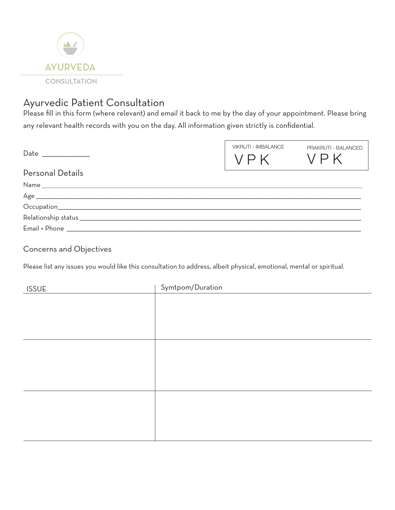

## Ayurvedic Patient Consultation

Please fill in this form (where relevant) and email it back to me by the day of your appointment. Please bring any relevant health records with you on the day. All information given strictly is confidential.

|                  | <b>VIKRUTI - IMBALANCE</b><br>VPK | PRAKRUTI - BALANCED<br>VPK |
|------------------|-----------------------------------|----------------------------|
| Personal Details |                                   |                            |
|                  |                                   |                            |
|                  |                                   |                            |
|                  |                                   |                            |
|                  |                                   |                            |
| Email + Phone    |                                   |                            |

#### Concerns and Objectives

Please list any issues you would like this consultation to address, albeit physical, emotional, mental or spiritual.

| <b>ISSUE</b> | Symtpom/Duration |
|--------------|------------------|
|              |                  |
|              |                  |
|              |                  |
|              |                  |
|              |                  |
|              |                  |
|              |                  |
|              |                  |
|              |                  |
|              |                  |
|              |                  |
|              |                  |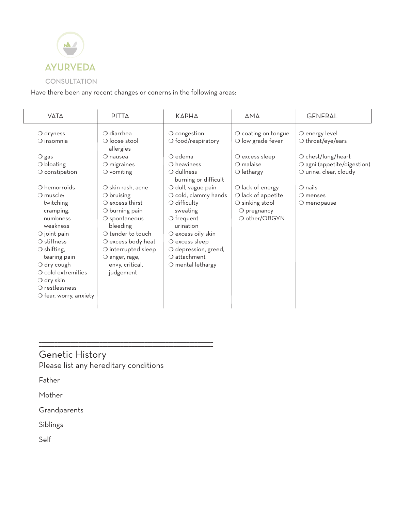

#### **CONSULTATION**

Have there been any recent changes or conerns in the following areas:

| <b>VATA</b>                               | <b>PITTA</b>                                               | KAPHA                                                | <b>AMA</b>                                        | <b>GENERAL</b>                               |
|-------------------------------------------|------------------------------------------------------------|------------------------------------------------------|---------------------------------------------------|----------------------------------------------|
| $\bigcirc$ dryness<br>$\bigcirc$ insomnia | $\bigcirc$ diarrhea<br>$\bigcirc$ loose stool<br>allergies | $\bigcirc$ congestion<br>$\bigcirc$ food/respiratory | O coating on tongue<br>$\bigcirc$ low grade fever | O energy level<br>$\bigcirc$ throat/eye/ears |
| $\bigcirc$ gas                            | $\Omega$ nausea                                            | $\bigcirc$ edema                                     | $\bigcirc$ excess sleep                           | $\bigcirc$ chest/lung/heart                  |
| $\bigcirc$ bloating                       | $\bigcirc$ migraines                                       | $\bigcirc$ heaviness                                 | $\bigcirc$ malaise                                | O agni (appetite/digestion)                  |
| $\bigcirc$ constipation                   | $\bigcirc$ vomiting                                        | O dullness<br>burning or difficult                   | $\bigcirc$ lethargy                               | O urine: clear, cloudy                       |
| $\bigcirc$ hemorroids                     | O skin rash, acne                                          | O dull, vague pain                                   | $\bigcirc$ lack of energy                         | $\bigcirc$ nails                             |
| O muscle:                                 | $\bigcirc$ bruising                                        | $\bigcirc$ cold, clammy hands                        | $\bigcirc$ lack of appetite                       | $\bigcirc$ menses                            |
| twitching                                 | $\Omega$ excess thirst                                     | $\bigcirc$ difficulty                                | $\bigcirc$ sinking stool                          | $\bigcirc$ menopause                         |
| cramping,                                 | $\bigcirc$ burning pain                                    | sweating                                             | $O$ pregnancy                                     |                                              |
| numbness<br>weakness                      | $\bigcirc$ spontaneous<br>bleeding                         | $\bigcirc$ frequent<br>urination                     | O other/OBGYN                                     |                                              |
| $\bigcirc$ joint pain                     | $\bigcirc$ tender to touch                                 | $\bigcirc$ excess oily skin                          |                                                   |                                              |
| $\bigcirc$ stiffness                      | O excess body heat                                         | $\bigcirc$ excess sleep                              |                                                   |                                              |
| $\bigcirc$ shifting,                      | O interrupted sleep                                        | O depression, greed,                                 |                                                   |                                              |
| tearing pain                              | $\bigcirc$ anger, rage,                                    | $\bigcirc$ attachment                                |                                                   |                                              |
| $\bigcirc$ dry cough                      | envy, critical,                                            | $\bigcirc$ mental lethargy                           |                                                   |                                              |
| $\bigcirc$ cold extremities               | judgement                                                  |                                                      |                                                   |                                              |
| $\bigcirc$ dry skin                       |                                                            |                                                      |                                                   |                                              |
| $\Omega$ restlessness                     |                                                            |                                                      |                                                   |                                              |
| $\bigcirc$ fear, worry, anxiety           |                                                            |                                                      |                                                   |                                              |
|                                           |                                                            |                                                      |                                                   |                                              |

### Genetic History Please list any hereditary conditions

\_\_\_\_\_\_\_\_\_\_\_\_\_\_\_\_\_\_\_\_\_\_\_\_\_\_\_\_\_\_\_\_\_\_\_\_\_\_\_\_\_\_\_\_\_\_\_\_\_\_\_\_\_\_\_\_\_\_\_\_\_\_\_\_\_\_ \_\_\_\_\_\_\_\_\_\_\_\_\_\_\_\_\_\_\_\_\_\_\_\_\_\_\_\_\_\_\_\_\_\_\_\_\_\_\_\_\_\_\_\_\_\_\_\_\_\_\_\_\_\_\_\_\_\_\_\_\_\_\_\_\_\_

Father

Mother

Grandparents

Siblings

Self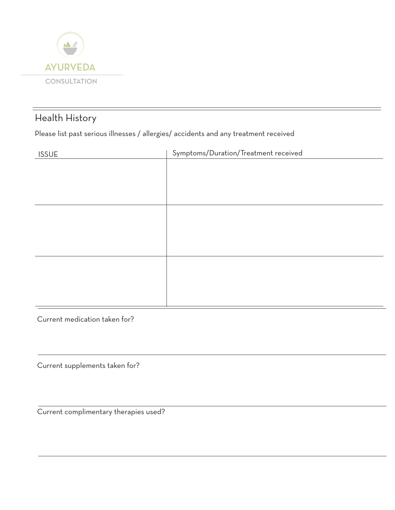

## Health History

Please list past serious illnesses / allergies/ accidents and any treatment received

| <b>ISSUE</b> | Symptoms/Duration/Treatment received |
|--------------|--------------------------------------|
|              |                                      |
|              |                                      |
|              |                                      |
|              |                                      |
|              |                                      |
|              |                                      |
|              |                                      |
|              |                                      |
|              |                                      |
|              |                                      |
|              |                                      |
|              |                                      |
|              |                                      |

Current medication taken for?

Current supplements taken for?

Current complimentary therapies used?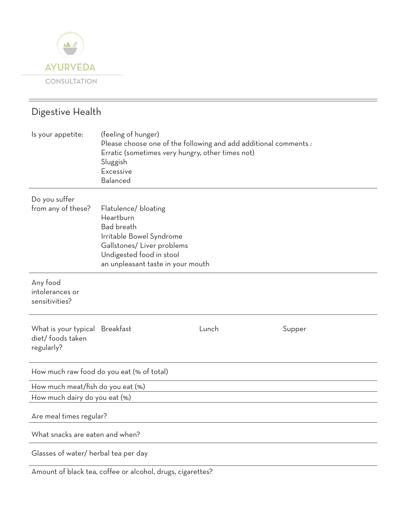

# Digestive Health Is your appetite: (feeling of hunger) Please choose one of the following and add additional comments : Erratic (sometimes very hungry, other times not) Sluggish Excessive Balanced Do you suffer from any of these? Flatulence/ bloating Heartburn Bad breath Irritable Bowel Syndrome Gallstones/ Liver problems Undigested food in stool an unpleasant taste in your mouth Any food intolerances or sensitivities? What is your typical Breakfast **Example 2018** Lunch Supper diet/ foods taken regularly? How much raw food do you eat (% of total) How much meat/fish do you eat (%) How much dairy do you eat (%) Are meal times regular? What snacks are eaten and when?

Glasses of water/ herbal tea per day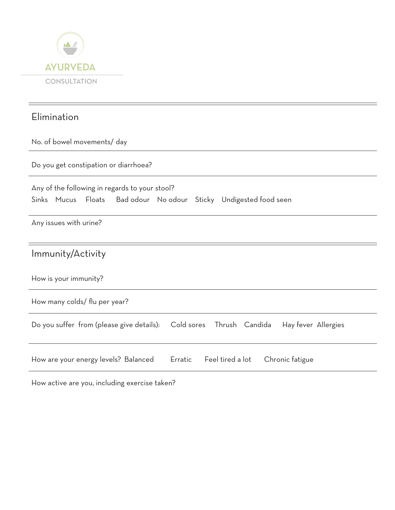

## Elimination

No. of bowel movements/ day

Do you get constipation or diarrhoea?

| Any of the following in regards to your stool? |  |  |  |  |  |                                                                   |  |
|------------------------------------------------|--|--|--|--|--|-------------------------------------------------------------------|--|
|                                                |  |  |  |  |  | Sinks Mucus Floats Bad odour No odour Sticky Undigested food seen |  |

Any issues with urine?

How is your immunity?

How many colds/ flu per year?

|  |  |  | Do you suffer from (please give details): Cold sores Thrush Candida Hay fever Allergies |  |  |  |  |
|--|--|--|-----------------------------------------------------------------------------------------|--|--|--|--|
|--|--|--|-----------------------------------------------------------------------------------------|--|--|--|--|

|  | How are your energy levels? Balanced |  |  | Erratic Feel tired a lot Chronic fatigue |  |
|--|--------------------------------------|--|--|------------------------------------------|--|
|--|--------------------------------------|--|--|------------------------------------------|--|

How active are you, including exercise taken?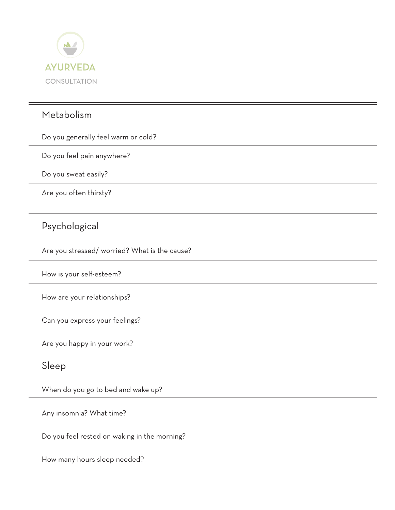

## Metabolism

Do you generally feel warm or cold?

Do you feel pain anywhere?

Do you sweat easily?

Are you often thirsty?

## Psychological

Are you stressed/ worried? What is the cause?

How is your self-esteem?

How are your relationships?

Can you express your feelings?

Are you happy in your work?

#### Sleep

When do you go to bed and wake up?

Any insomnia? What time?

Do you feel rested on waking in the morning?

How many hours sleep needed?